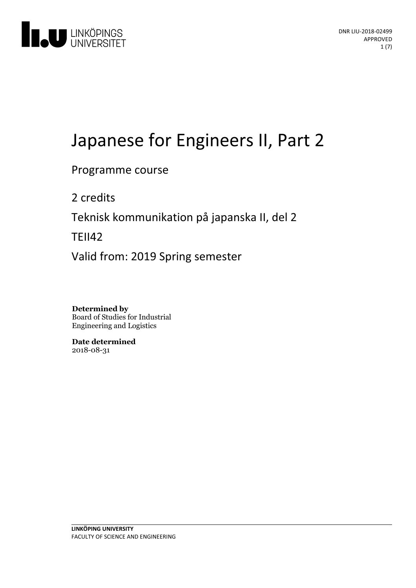

# Japanese for Engineers II, Part 2

## Programme course

2 credits

Teknisk kommunikation på japanska II, del 2

TEII42

Valid from: 2019 Spring semester

**Determined by** Board of Studies for Industrial Engineering and Logistics

**Date determined** 2018-08-31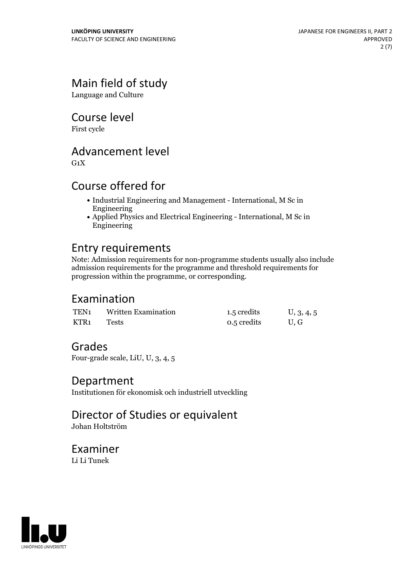# Main field of study

Language and Culture

Course level

First cycle

## Advancement level

 $G_1X$ 

# Course offered for

- Industrial Engineering and Management International, M Sc in Engineering
- Applied Physics and Electrical Engineering International, M Sc in Engineering

# Entry requirements

Note: Admission requirements for non-programme students usually also include admission requirements for the programme and threshold requirements for progression within the programme, or corresponding.

## Examination

| TEN1             | <b>Written Examination</b> | 1.5 credits | U, 3, 4, 5 |
|------------------|----------------------------|-------------|------------|
| KTR <sub>1</sub> | Tests                      | 0.5 credits | U.G        |

# Grades

Four-grade scale, LiU, U, 3, 4, 5

## Department

Institutionen för ekonomisk och industriell utveckling

# Director of Studies or equivalent

Johan Holtström

## Examiner Li Li Tunek

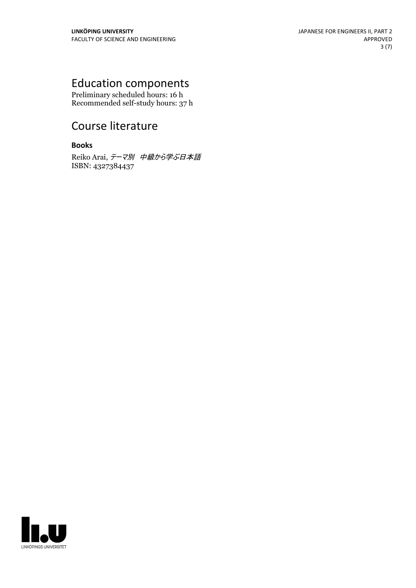# Education components

Preliminary scheduled hours: 16 h Recommended self-study hours: 37 h

# Course literature

#### **Books**

Reiko Arai, テーマ別 中級から学ぶ日本語 ISBN: 4327384437

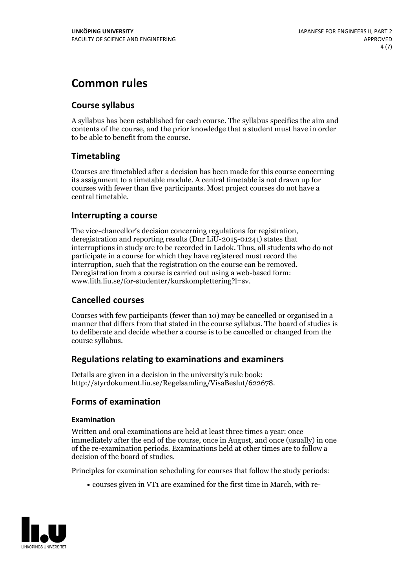# **Common rules**

## **Course syllabus**

A syllabus has been established for each course. The syllabus specifies the aim and contents of the course, and the prior knowledge that a student must have in order to be able to benefit from the course.

## **Timetabling**

Courses are timetabled after a decision has been made for this course concerning its assignment to a timetable module. A central timetable is not drawn up for courses with fewer than five participants. Most project courses do not have a central timetable.

## **Interrupting a course**

The vice-chancellor's decision concerning regulations for registration, deregistration and reporting results (Dnr LiU-2015-01241) states that interruptions in study are to be recorded in Ladok. Thus, all students who do not participate in a course for which they have registered must record the interruption, such that the registration on the course can be removed. Deregistration from <sup>a</sup> course is carried outusing <sup>a</sup> web-based form: www.lith.liu.se/for-studenter/kurskomplettering?l=sv.

### **Cancelled courses**

Courses with few participants (fewer than 10) may be cancelled or organised in a manner that differs from that stated in the course syllabus. The board of studies is to deliberate and decide whether a course is to be cancelled orchanged from the course syllabus.

### **Regulations relatingto examinations and examiners**

Details are given in a decision in the university's rule book: http://styrdokument.liu.se/Regelsamling/VisaBeslut/622678.

## **Forms of examination**

#### **Examination**

Written and oral examinations are held at least three times a year: once immediately after the end of the course, once in August, and once (usually) in one of the re-examination periods. Examinations held at other times are to follow a decision of the board of studies.

Principles for examination scheduling for courses that follow the study periods:

courses given in VT1 are examined for the first time in March, with re-

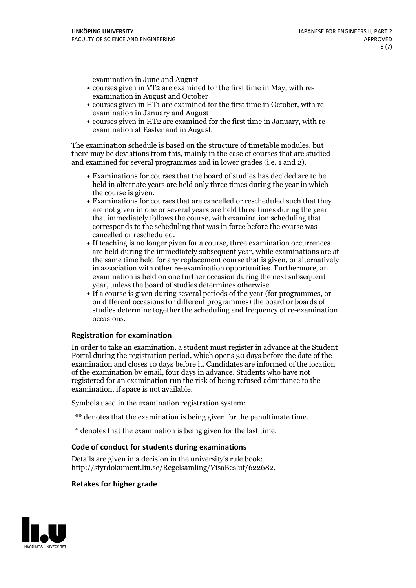examination in June and August

- courses given in VT2 are examined for the first time in May, with re-examination in August and October
- courses given in HT1 are examined for the first time in October, with re-examination in January and August
- courses given in HT2 are examined for the first time in January, with re-examination at Easter and in August.

The examination schedule is based on the structure of timetable modules, but there may be deviations from this, mainly in the case of courses that are studied and examined for several programmes and in lower grades (i.e. 1 and 2).

- Examinations for courses that the board of studies has decided are to be held in alternate years are held only three times during the year in which
- the course is given.<br>• Examinations for courses that are cancelled or rescheduled such that they are not given in one or several years are held three times during the year that immediately follows the course, with examination scheduling that corresponds to the scheduling that was in force before the course was cancelled or rescheduled.<br>• If teaching is no longer given for a course, three examination occurrences
- are held during the immediately subsequent year, while examinations are at the same time held for any replacement course that is given, or alternatively in association with other re-examination opportunities. Furthermore, an examination is held on one further occasion during the next subsequent year, unless the board of studies determines otherwise.<br>• If a course is given during several periods of the year (for programmes, or
- on different occasions for different programmes) the board orboards of studies determine together the scheduling and frequency of re-examination occasions.

#### **Registration for examination**

In order to take an examination, a student must register in advance at the Student Portal during the registration period, which opens 30 days before the date of the examination and closes 10 days before it. Candidates are informed of the location of the examination by email, four days in advance. Students who have not registered for an examination run the risk of being refused admittance to the examination, if space is not available.

Symbols used in the examination registration system:

- \*\* denotes that the examination is being given for the penultimate time.
- \* denotes that the examination is being given for the last time.

#### **Code of conduct for students during examinations**

Details are given in a decision in the university's rule book: http://styrdokument.liu.se/Regelsamling/VisaBeslut/622682.

#### **Retakes for higher grade**

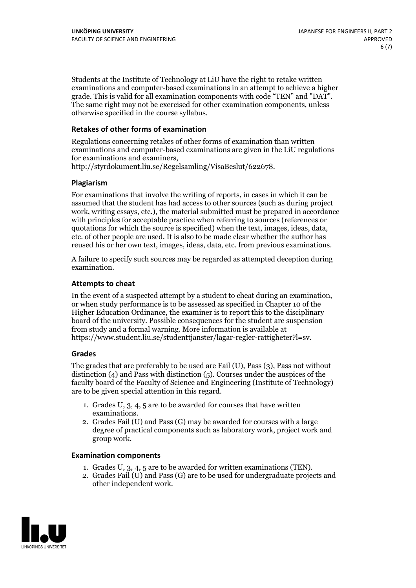Students at the Institute of Technology at LiU have the right to retake written examinations and computer-based examinations in an attempt to achieve a higher grade. This is valid for all examination components with code "TEN" and "DAT". The same right may not be exercised for other examination components, unless otherwise specified in the course syllabus.

#### **Retakes of other forms of examination**

Regulations concerning retakes of other forms of examination than written examinations and computer-based examinations are given in the LiU regulations

http://styrdokument.liu.se/Regelsamling/VisaBeslut/622678.

#### **Plagiarism**

For examinations that involve the writing of reports, in cases in which it can be assumed that the student has had access to other sources (such as during project work, writing essays, etc.), the material submitted must be prepared in accordance with principles for acceptable practice when referring to sources (references or quotations for which the source is specified) when the text, images, ideas, data, etc. of other people are used. It is also to be made clear whether the author has reused his or her own text, images, ideas, data, etc. from previous examinations.

A failure to specify such sources may be regarded as attempted deception during examination.

#### **Attempts to cheat**

In the event of <sup>a</sup> suspected attempt by <sup>a</sup> student to cheat during an examination, or when study performance is to be assessed as specified in Chapter <sup>10</sup> of the Higher Education Ordinance, the examiner is to report this to the disciplinary board of the university. Possible consequences for the student are suspension from study and a formal warning. More information is available at https://www.student.liu.se/studenttjanster/lagar-regler-rattigheter?l=sv.

#### **Grades**

The grades that are preferably to be used are Fail (U), Pass (3), Pass not without distinction  $(4)$  and Pass with distinction  $(5)$ . Courses under the auspices of the faculty board of the Faculty of Science and Engineering (Institute of Technology) are to be given special attention in this regard.

- 1. Grades U, 3, 4, 5 are to be awarded for courses that have written
- examinations. 2. Grades Fail (U) and Pass (G) may be awarded for courses with <sup>a</sup> large degree of practical components such as laboratory work, project work and group work.

#### **Examination components**

- 
- 1. Grades U, 3, 4, <sup>5</sup> are to be awarded for written examinations (TEN). 2. Grades Fail (U) and Pass (G) are to be used for undergraduate projects and other independent work.